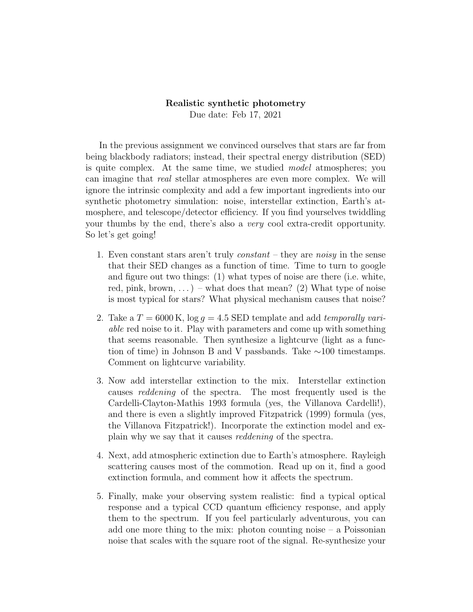## Realistic synthetic photometry Due date: Feb 17, 2021

In the previous assignment we convinced ourselves that stars are far from being blackbody radiators; instead, their spectral energy distribution (SED) is quite complex. At the same time, we studied *model* atmospheres; you can imagine that real stellar atmospheres are even more complex. We will ignore the intrinsic complexity and add a few important ingredients into our synthetic photometry simulation: noise, interstellar extinction, Earth's atmosphere, and telescope/detector efficiency. If you find yourselves twiddling your thumbs by the end, there's also a very cool extra-credit opportunity. So let's get going!

- 1. Even constant stars aren't truly *constant* they are *noisy* in the sense that their SED changes as a function of time. Time to turn to google and figure out two things: (1) what types of noise are there (i.e. white, red, pink, brown,  $\ldots$ ) – what does that mean? (2) What type of noise is most typical for stars? What physical mechanism causes that noise?
- 2. Take a  $T = 6000 \text{ K}$ ,  $\log q = 4.5 \text{ SED template}$  and add temporally variable red noise to it. Play with parameters and come up with something that seems reasonable. Then synthesize a lightcurve (light as a function of time) in Johnson B and V passbands. Take ∼100 timestamps. Comment on lightcurve variability.
- 3. Now add interstellar extinction to the mix. Interstellar extinction causes reddening of the spectra. The most frequently used is the Cardelli-Clayton-Mathis 1993 formula (yes, the Villanova Cardelli!), and there is even a slightly improved Fitzpatrick (1999) formula (yes, the Villanova Fitzpatrick!). Incorporate the extinction model and explain why we say that it causes reddening of the spectra.
- 4. Next, add atmospheric extinction due to Earth's atmosphere. Rayleigh scattering causes most of the commotion. Read up on it, find a good extinction formula, and comment how it affects the spectrum.
- 5. Finally, make your observing system realistic: find a typical optical response and a typical CCD quantum efficiency response, and apply them to the spectrum. If you feel particularly adventurous, you can add one more thing to the mix: photon counting noise – a Poissonian noise that scales with the square root of the signal. Re-synthesize your